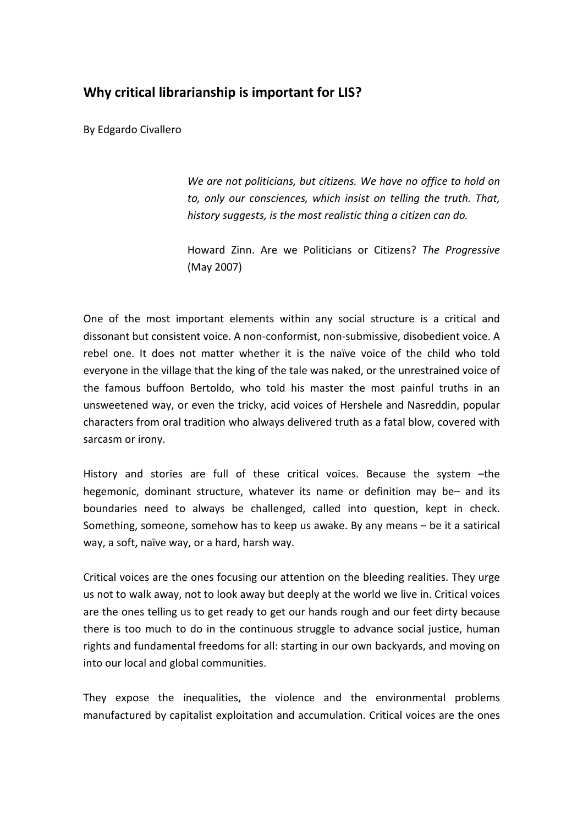## **Why critical librarianship is important for LIS?**

By Edgardo Civallero

*We are not politicians, but citizens. We have no office to hold on to, only our consciences, which insist on telling the truth. That, history suggests, is the most realistic thing a citizen can do.*

Howard Zinn. Are we Politicians or Citizens? *The Progressive* (May 2007)

One of the most important elements within any social structure is a critical and dissonant but consistent voice. A non-conformist, non-submissive, disobedient voice. A rebel one. It does not matter whether it is the naïve voice of the child who told everyone in the village that the king of the tale was naked, or the unrestrained voice of the famous buffoon Bertoldo, who told his master the most painful truths in an unsweetened way, or even the tricky, acid voices of Hershele and Nasreddin, popular characters from oral tradition who always delivered truth as a fatal blow, covered with sarcasm or irony.

History and stories are full of these critical voices. Because the system –the hegemonic, dominant structure, whatever its name or definition may be– and its boundaries need to always be challenged, called into question, kept in check. Something, someone, somehow has to keep us awake. By any means – be it a satirical way, a soft, naïve way, or a hard, harsh way.

Critical voices are the ones focusing our attention on the bleeding realities. They urge us not to walk away, not to look away but deeply at the world we live in. Critical voices are the ones telling us to get ready to get our hands rough and our feet dirty because there is too much to do in the continuous struggle to advance social justice, human rights and fundamental freedoms for all: starting in our own backyards, and moving on into our local and global communities.

They expose the inequalities, the violence and the environmental problems manufactured by capitalist exploitation and accumulation. Critical voices are the ones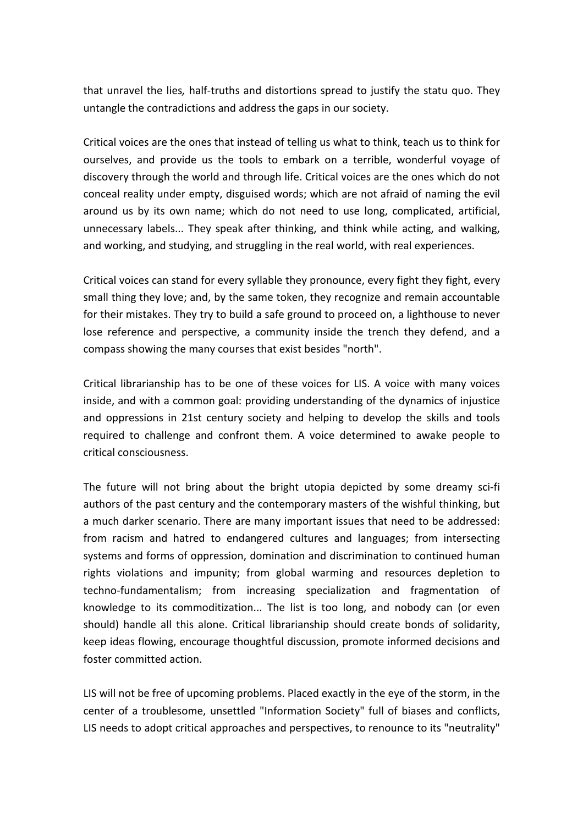that unravel the lies*,* half-truths and distortions spread to justify the statu quo. They untangle the contradictions and address the gaps in our society.

Critical voices are the ones that instead of telling us what to think, teach us to think for ourselves, and provide us the tools to embark on a terrible, wonderful voyage of discovery through the world and through life. Critical voices are the ones which do not conceal reality under empty, disguised words; which are not afraid of naming the evil around us by its own name; which do not need to use long, complicated, artificial, unnecessary labels... They speak after thinking, and think while acting, and walking, and working, and studying, and struggling in the real world, with real experiences.

Critical voices can stand for every syllable they pronounce, every fight they fight, every small thing they love; and, by the same token, they recognize and remain accountable for their mistakes. They try to build a safe ground to proceed on, a lighthouse to never lose reference and perspective, a community inside the trench they defend, and a compass showing the many courses that exist besides "north".

Critical librarianship has to be one of these voices for LIS. A voice with many voices inside, and with a common goal: providing understanding of the dynamics of injustice and oppressions in 21st century society and helping to develop the skills and tools required to challenge and confront them. A voice determined to awake people to critical consciousness.

The future will not bring about the bright utopia depicted by some dreamy sci-fi authors of the past century and the contemporary masters of the wishful thinking, but a much darker scenario. There are many important issues that need to be addressed: from racism and hatred to endangered cultures and languages; from intersecting systems and forms of oppression, domination and discrimination to continued human rights violations and impunity; from global warming and resources depletion to techno-fundamentalism; from increasing specialization and fragmentation of knowledge to its commoditization... The list is too long, and nobody can (or even should) handle all this alone. Critical librarianship should create bonds of solidarity, keep ideas flowing, encourage thoughtful discussion, promote informed decisions and foster committed action.

LIS will not be free of upcoming problems. Placed exactly in the eye of the storm, in the center of a troublesome, unsettled "Information Society" full of biases and conflicts, LIS needs to adopt critical approaches and perspectives, to renounce to its "neutrality"